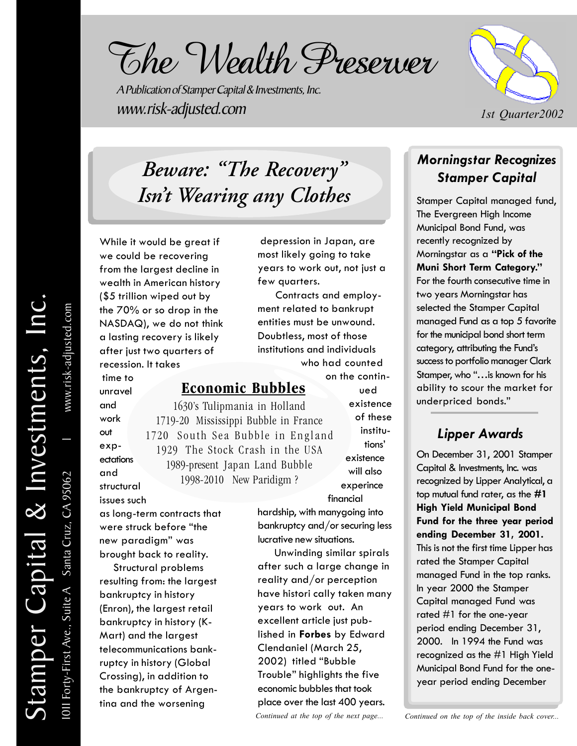The Wealth Preserver

A Publication of Stamper Capital & Investments, Inc. www.risk-adjusted.com



## *Beware: "The Recovery" Isn't Wearing any Clothes*

While it would be great if we could be recovering from the largest decline in wealth in American history (\$5 trillion wiped out by the 70% or so drop in the NASDAQ), we do not think a lasting recovery is likely after just two quarters of recession. It takes

 time to unravel and work out expectations and structural issues such

 depression in Japan, are most likely going to take years to work out, not just a few quarters.

 Contracts and employment related to bankrupt entities must be unwound. Doubtless, most of those institutions and individuals who had counted

#### **Economic Bubbles**

1630's Tulipmania in Holland 1719-20 Mississippi Bubble in France 1720 South Sea Bubble in England 1929 The Stock Crash in the USA 1989-present Japan Land Bubble 1998-2010 New Paridigm ?

on the continued existence of these institu tions' existence will also experince

 financial hardship, with manygoing into bankruptcy and/or securing less lucrative new situations.

 Unwinding similar spirals after such a large change in reality and/or perception have histori cally taken many years to work out. An excellent article just published in **Forbes** by Edward Clendaniel (March 25, 2002) titled "Bubble Trouble" highlights the five economic bubbles that took place over the last 400 years. *Continued at the top of the next page...*

# two years Morningstar has selected the Stamper Capital

managed Fund as a top 5 favorite for the municipal bond short term category, attributing the Fund's success to portfolio manager Clark Stamper, who "…is known for his ability to scour the market for

*Morningstar Recognizes Stamper Capital*

Stamper Capital managed fund, The Evergreen High Income Municipal Bond Fund, was recently recognized by

Morningstar as a **"Pick of the Muni Short Term Category."** For the fourth consecutive time in

#### *Lipper Awards*

underpriced bonds."

On December 31, 2001 Stamper Capital & Investments, Inc. was recognized by Lipper Analytical, a top mutual fund rater, as the **#1 High Yield Municipal Bond Fund for the three year period ending December 31, 2001.** This is not the first time Lipper has rated the Stamper Capital managed Fund in the top ranks. In year 2000 the Stamper Capital managed Fund was rated #1 for the one-year period ending December 31, 2000. In 1994 the Fund was recognized as the #1 High Yield Municipal Bond Fund for the oneyear period ending December

*Continued on the top of the inside back cover...*

as long-term contracts that were struck before "the new paradigm" was brought back to reality.

 Structural problems resulting from: the largest bankruptcy in history (Enron), the largest retail bankruptcy in history (K-Mart) and the largest telecommunications bankruptcy in history (Global Crossing), in addition to the bankruptcy of Argentina and the worsening

1011 Forty-First Ave., Suite A Santa Cruz, CA 95062

OII Forty-First Ave., Suite A Santa Cruz, CA 95062

l www.risk-adjusted.com

www.risk-adjusted.com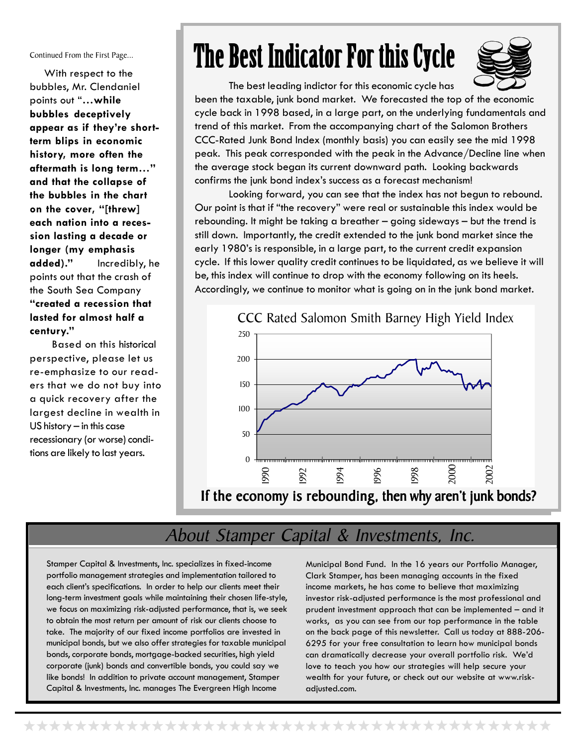Continued From the First Page...

With respect to the bubbles, Mr. Clendaniel points out "**…while bubbles deceptively appear as if they're shortterm blips in economic history, more often the aftermath is long term…" and that the collapse of the bubbles in the chart on the cover, "[threw] each nation into a recession lasting a decade or longer (my emphasis added)."** Incredibly, he points out that the crash of the South Sea Company **"created a recession that lasted for almost half a century."**

Based on this historical perspective, please let us re-emphasize to our readers that we do not buy into a quick recovery after the largest decline in wealth in US history – in this case recessionary (or worse) conditions are likely to last years.

## The Best Indicator For this Cycle



The best leading indictor for this economic cycle has

been the taxable, junk bond market. We forecasted the top of the economic cycle back in 1998 based, in a large part, on the underlying fundamentals and trend of this market. From the accompanying chart of the Salomon Brothers CCC-Rated Junk Bond Index (monthly basis) you can easily see the mid 1998 peak. This peak corresponded with the peak in the Advance/Decline line when the average stock began its current downward path. Looking backwards confirms the junk bond index's success as a forecast mechanism!

Looking forward, you can see that the index has not begun to rebound. Our point is that if "the recovery" were real or sustainable this index would be rebounding. It might be taking a breather – going sideways – but the trend is still down. Importantly, the credit extended to the junk bond market since the early 1980's is responsible, in a large part, to the current credit expansion cycle. If this lower quality credit continues to be liquidated, as we believe it will be, this index will continue to drop with the economy following on its heels. Accordingly, we continue to monitor what is going on in the junk bond market.



### About Stamper Capital & Investments, Inc.

Stamper Capital & Investments, Inc. specializes in fixed-income portfolio management strategies and implementation tailored to each client's specifications. In order to help our clients meet their long-term investment goals while maintaining their chosen life-style, we focus on maximizing risk-adjusted performance, that is, we seek to obtain the most return per amount of risk our clients choose to take. The majority of our fixed income portfolios are invested in municipal bonds, but we also offer strategies for taxable municipal bonds, corporate bonds, mortgage-backed securities, high yield corporate (junk) bonds and convertible bonds, you could say we like bonds! In addition to private account management, Stamper Capital & Investments, Inc. manages The Evergreen High Income

Municipal Bond Fund. In the 16 years our Portfolio Manager, Clark Stamper, has been managing accounts in the fixed income markets, he has come to believe that maximizing investor risk-adjusted performance is the most professional and prudent investment approach that can be implemented – and it works, as you can see from our top performance in the table on the back page of this newsletter. Call us today at 888-206- 6295 for your free consultation to learn how municipal bonds can dramatically decrease your overall portfolio risk. We'd love to teach you how our strategies will help secure your wealth for your future, or check out our website at www.riskadjusted.com.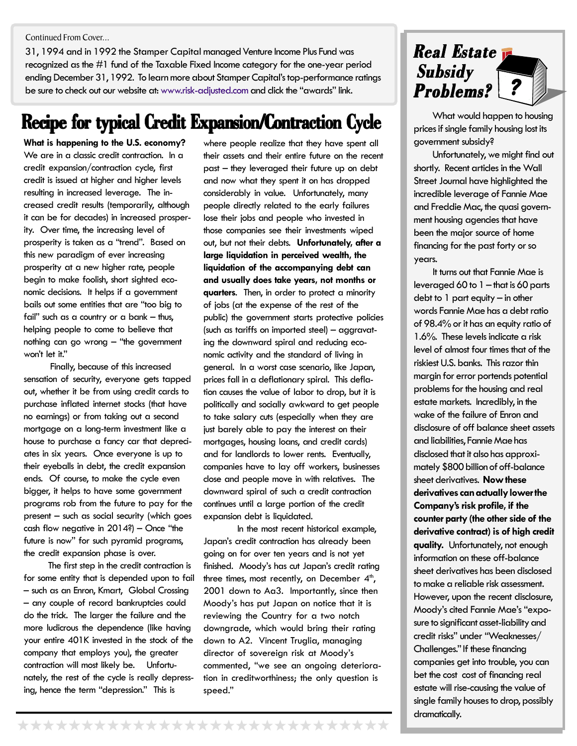Continued From Cover...

31, 1994 and in 1992 the Stamper Capital managed Venture Income Plus Fund was recognized as the #1 fund of the Taxable Fixed Income category for the one-year period ending December 31, 1992. To learn more about Stamper Capital's top-performance ratings be sure to check out our website at: www.risk-adjusted.com and click the "awards" link.

### **Recipe for typical Credit Expansion/Contraction Cycle**

**What is happening to the U.S. economy?** We are in a classic credit contraction. In a credit expansion/contraction cycle, first credit is issued at higher and higher levels resulting in increased leverage. The increased credit results (temporarily, although it can be for decades) in increased prosperity. Over time, the increasing level of prosperity is taken as a "trend". Based on this new paradigm of ever increasing prosperity at a new higher rate, people begin to make foolish, short sighted economic decisions. It helps if a government bails out some entities that are "too big to fail" such as a country or a bank – thus, helping people to come to believe that nothing can go wrong – "the government won't let it."

 Finally, because of this increased sensation of security, everyone gets tapped out, whether it be from using credit cards to purchase inflated internet stocks (that have no earnings) or from taking out a second mortgage on a long-term investment like a house to purchase a fancy car that depreciates in six years. Once everyone is up to their eyeballs in debt, the credit expansion ends. Of course, to make the cycle even bigger, it helps to have some government programs rob from the future to pay for the present – such as social security (which goes cash flow negative in  $2014$ ?) – Once "the future is now" for such pyramid programs, the credit expansion phase is over.

 The first step in the credit contraction is for some entity that is depended upon to fail – such as an Enron, Kmart, Global Crossing – any couple of record bankruptcies could do the trick. The larger the failure and the more ludicrous the dependence (like having your entire 401K invested in the stock of the company that employs you), the greater contraction will most likely be. Unfortunately, the rest of the cycle is really depressing, hence the term "depression." This is

where people realize that they have spent all their assets and their entire future on the recent past – they leveraged their future up on debt and now what they spent it on has dropped considerably in value. Unfortunately, many people directly related to the early failures lose their jobs and people who invested in those companies see their investments wiped out, but not their debts. **Unfortunately, after a large liquidation in perceived wealth, the liquidation of the accompanying debt can and usually does take years, not months or quarters**. Then, in order to protect a minority of jobs (at the expense of the rest of the public) the government starts protective policies (such as tariffs on imported steel) – aggravating the downward spiral and reducing economic activity and the standard of living in general. In a worst case scenario, like Japan, prices fall in a deflationary spiral. This deflation causes the value of labor to drop, but it is politically and socially awkward to get people to take salary cuts (especially when they are just barely able to pay the interest on their mortgages, housing loans, and credit cards) and for landlords to lower rents. Eventually, companies have to lay off workers, businesses close and people move in with relatives. The downward spiral of such a credit contraction continues until a large portion of the credit expansion debt is liquidated.

In the most recent historical example, Japan's credit contraction has already been going on for over ten years and is not yet finished. Moody's has cut Japan's credit rating three times, most recently, on December  $4<sup>th</sup>$ , 2001 down to Aa3. Importantly, since then Moody's has put Japan on notice that it is reviewing the Country for a two notch downgrade, which would bring their rating down to A2. Vincent Truglia, managing director of sovereign risk at Moody's commented, "we see an ongoing deterioration in creditworthiness; the only question is speed."



 What would happen to housing prices if single family housing lost its government subsidy?

 Unfortunately, we might find out shortly. Recent articles in the Wall Street Journal have highlighted the incredible leverage of Fannie Mae and Freddie Mac, the quasi government housing agencies that have been the major source of home financing for the past forty or so years.

 It turns out that Fannie Mae is leveraged 60 to 1 – that is 60 parts debt to 1 part equity – in other words Fannie Mae has a debt ratio of 98.4% or it has an equity ratio of 1.6%. These levels indicate a risk level of almost four times that of the riskiest U.S. banks. This razor thin margin for error portends potential problems for the housing and real estate markets. Incredibly, in the wake of the failure of Enron and disclosure of off balance sheet assets and liabilities, Fannie Mae has disclosed that it also has approximately \$800 billion of off-balance sheet derivatives. **Now these derivatives can actually lower the Company's risk profile, if the counter party (the other side of the derivative contract) is of high credit quality.** Unfortunately, not enough information on these off-balance sheet derivatives has been disclosed to make a reliable risk assessment. However, upon the recent disclosure, Moody's cited Fannie Mae's "exposure to significant asset-liability and credit risks" under "Weaknesses/ Challenges." If these financing companies get into trouble, you can bet the cost cost of financing real estate will rise-causing the value of single family houses to drop, possibly dramatically.

\*\*\*\*\*\*\*\*\*\*\*\*\*\*\*\*\*\*\*\*\*\*\*\*\*\*\*\*